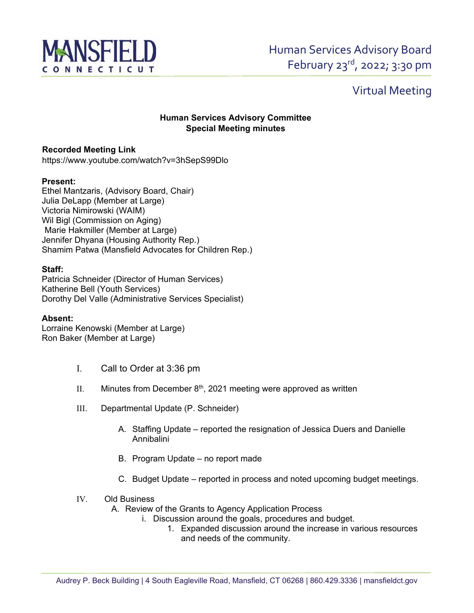

# Virtual Meeting

## **Human Services Advisory Committee Special Meeting minutes**

### **Recorded Meeting Link**

https://www.youtube.com/watch?v=3hSepS99Dlo

#### **Present:**

Ethel Mantzaris, (Advisory Board, Chair) Julia DeLapp (Member at Large) Victoria Nimirowski (WAIM) Wil Bigl (Commission on Aging) Marie Hakmiller (Member at Large) Jennifer Dhyana (Housing Authority Rep.) Shamim Patwa (Mansfield Advocates for Children Rep.)

#### **Staff:**

Patricia Schneider (Director of Human Services) Katherine Bell (Youth Services) Dorothy Del Valle (Administrative Services Specialist)

#### **Absent:**

Lorraine Kenowski (Member at Large) Ron Baker (Member at Large)

- I. Call to Order at 3:36 pm
- II. Minutes from December  $8<sup>th</sup>$ , 2021 meeting were approved as written
- III. Departmental Update (P. Schneider)
	- A. Staffing Update reported the resignation of Jessica Duers and Danielle Annibalini
	- B. Program Update no report made
	- C. Budget Update reported in process and noted upcoming budget meetings.
- IV. Old Business
	- A. Review of the Grants to Agency Application Process
		- i. Discussion around the goals, procedures and budget.
			- 1. Expanded discussion around the increase in various resources and needs of the community.